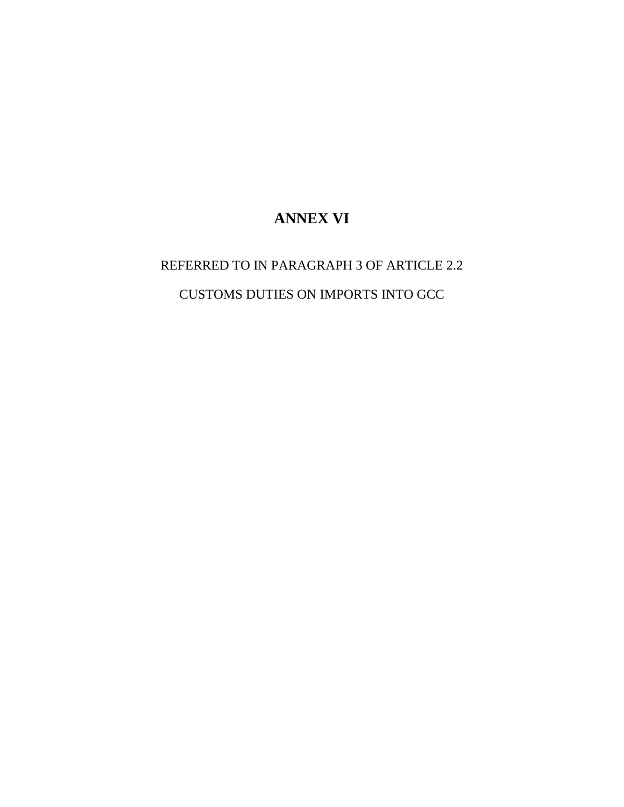## **ANNEX VI**

REFERRED TO IN PARAGRAPH 3 OF ARTICLE 2.2 CUSTOMS DUTIES ON IMPORTS INTO GCC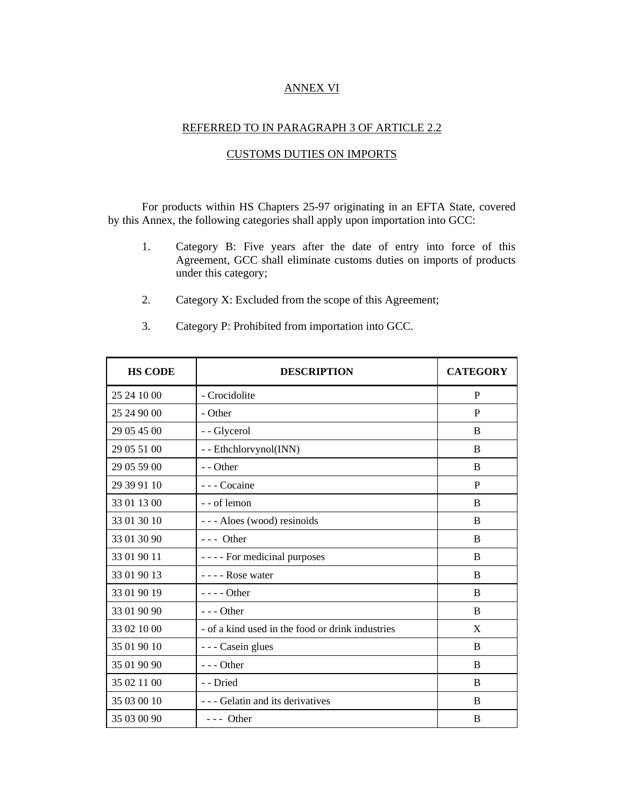## ANNEX VI

## REFERRED TO IN PARAGRAPH 3 OF ARTICLE 2.2

## CUSTOMS DUTIES ON IMPORTS

For products within HS Chapters 25-97 originating in an EFTA State, covered by this Annex, the following categories shall apply upon importation into GCC:

- 1. Category B: Five years after the date of entry into force of this Agreement, GCC shall eliminate customs duties on imports of products under this category;
- 2. Category X: Excluded from the scope of this Agreement;
- 3. Category P: Prohibited from importation into GCC.

| <b>HS CODE</b> | <b>DESCRIPTION</b>                               | <b>CATEGORY</b> |
|----------------|--------------------------------------------------|-----------------|
| 25 24 10 00    | - Crocidolite                                    | P               |
| 25 24 90 00    | - Other                                          | P               |
| 29 05 45 00    | - - Glycerol                                     | B               |
| 29 05 51 00    | - - Ethchlorvynol(INN)                           | <sub>B</sub>    |
| 29 05 59 00    | - - Other                                        | B               |
| 29 39 91 10    | - - - Cocaine                                    | P               |
| 33 01 13 00    | - - of lemon                                     | <sub>B</sub>    |
| 33 01 30 10    | --- Aloes (wood) resinoids                       | B               |
| 33 01 30 90    | $--$ Other                                       | <sub>B</sub>    |
| 33 01 90 11    | - - - - For medicinal purposes                   | B               |
| 33 01 90 13    | - - - - Rose water                               | B               |
| 33 01 90 19    | $- - -$ Other                                    | B               |
| 33 01 90 90    | $- -$ Other                                      | B               |
| 33 02 10 00    | - of a kind used in the food or drink industries | X               |
| 35 01 90 10    | - - - Casein glues                               | $\, {\bf B}$    |
| 35 01 90 90    | $--$ Other                                       | B               |
| 35 02 11 00    | - - Dried                                        | B               |
| 35 03 00 10    | - - - Gelatin and its derivatives                | <sub>B</sub>    |
| 35 03 00 90    | --- Other                                        | B               |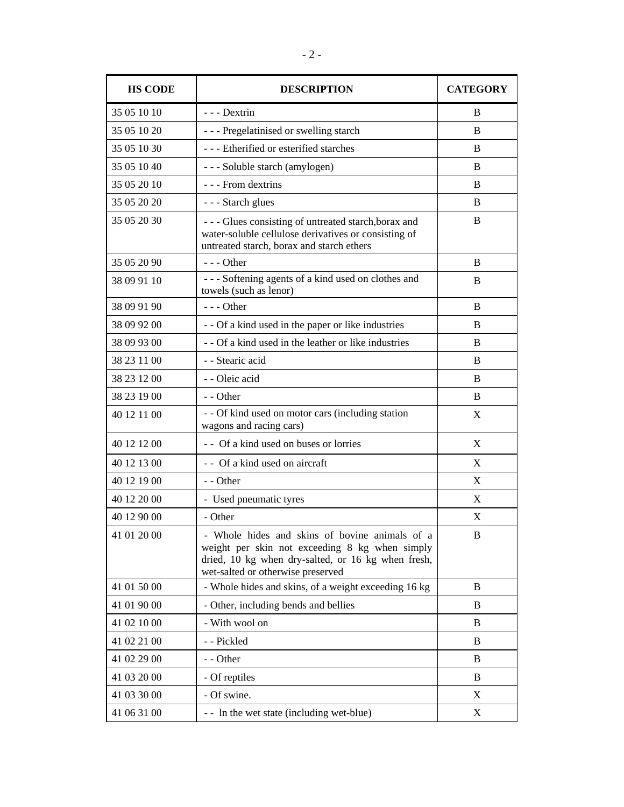| <b>HS CODE</b> | <b>DESCRIPTION</b>                                                                                                                                                                          | <b>CATEGORY</b> |
|----------------|---------------------------------------------------------------------------------------------------------------------------------------------------------------------------------------------|-----------------|
| 35 05 10 10    | - - - Dextrin                                                                                                                                                                               | B               |
| 35 05 10 20    | --- Pregelatinised or swelling starch                                                                                                                                                       | B               |
| 35 05 10 30    | --- Etherified or esterified starches                                                                                                                                                       | B               |
| 35 05 10 40    | - - - Soluble starch (amylogen)                                                                                                                                                             | B               |
| 35 05 20 10    | - - - From dextrins                                                                                                                                                                         | B               |
| 35 05 20 20    | - - - Starch glues                                                                                                                                                                          | B               |
| 35 05 20 30    | --- Glues consisting of untreated starch, borax and<br>water-soluble cellulose derivatives or consisting of<br>untreated starch, borax and starch ethers                                    | B               |
| 35 05 20 90    | $--$ Other                                                                                                                                                                                  | B               |
| 38 09 91 10    | --- Softening agents of a kind used on clothes and<br>towels (such as lenor)                                                                                                                | <sub>B</sub>    |
| 38 09 91 90    | $- -$ Other                                                                                                                                                                                 | B               |
| 38 09 92 00    | - - Of a kind used in the paper or like industries                                                                                                                                          | B               |
| 38 09 93 00    | - - Of a kind used in the leather or like industries                                                                                                                                        | <sub>B</sub>    |
| 38 23 11 00    | - - Stearic acid                                                                                                                                                                            | B               |
| 38 23 12 00    | - - Oleic acid                                                                                                                                                                              | B               |
| 38 23 19 00    | - - Other                                                                                                                                                                                   | B               |
| 40 12 11 00    | - - Of kind used on motor cars (including station<br>wagons and racing cars)                                                                                                                | X               |
| 40 12 12 00    | - - Of a kind used on buses or lorries                                                                                                                                                      | X               |
| 40 12 13 00    | - - Of a kind used on aircraft                                                                                                                                                              | X               |
| 40 12 19 00    | - - Other                                                                                                                                                                                   | X               |
| 40 12 20 00    | - Used pneumatic tyres                                                                                                                                                                      | X               |
| 40 12 90 00    | - Other                                                                                                                                                                                     | X               |
| 41 01 20 00    | - Whole hides and skins of bovine animals of a<br>weight per skin not exceeding 8 kg when simply<br>dried, 10 kg when dry-salted, or 16 kg when fresh,<br>wet-salted or otherwise preserved | B               |
| 41 01 50 00    | - Whole hides and skins, of a weight exceeding 16 kg                                                                                                                                        | B               |
| 41 01 90 00    | - Other, including bends and bellies                                                                                                                                                        | B               |
| 41 02 10 00    | - With wool on                                                                                                                                                                              | B               |
| 41 02 21 00    | - - Pickled                                                                                                                                                                                 | B               |
| 41 02 29 00    | - - Other                                                                                                                                                                                   | B               |
| 41 03 20 00    | - Of reptiles                                                                                                                                                                               | B               |
| 41 03 30 00    | - Of swine.                                                                                                                                                                                 | X               |
| 41 06 31 00    | - - In the wet state (including wet-blue)                                                                                                                                                   | X               |